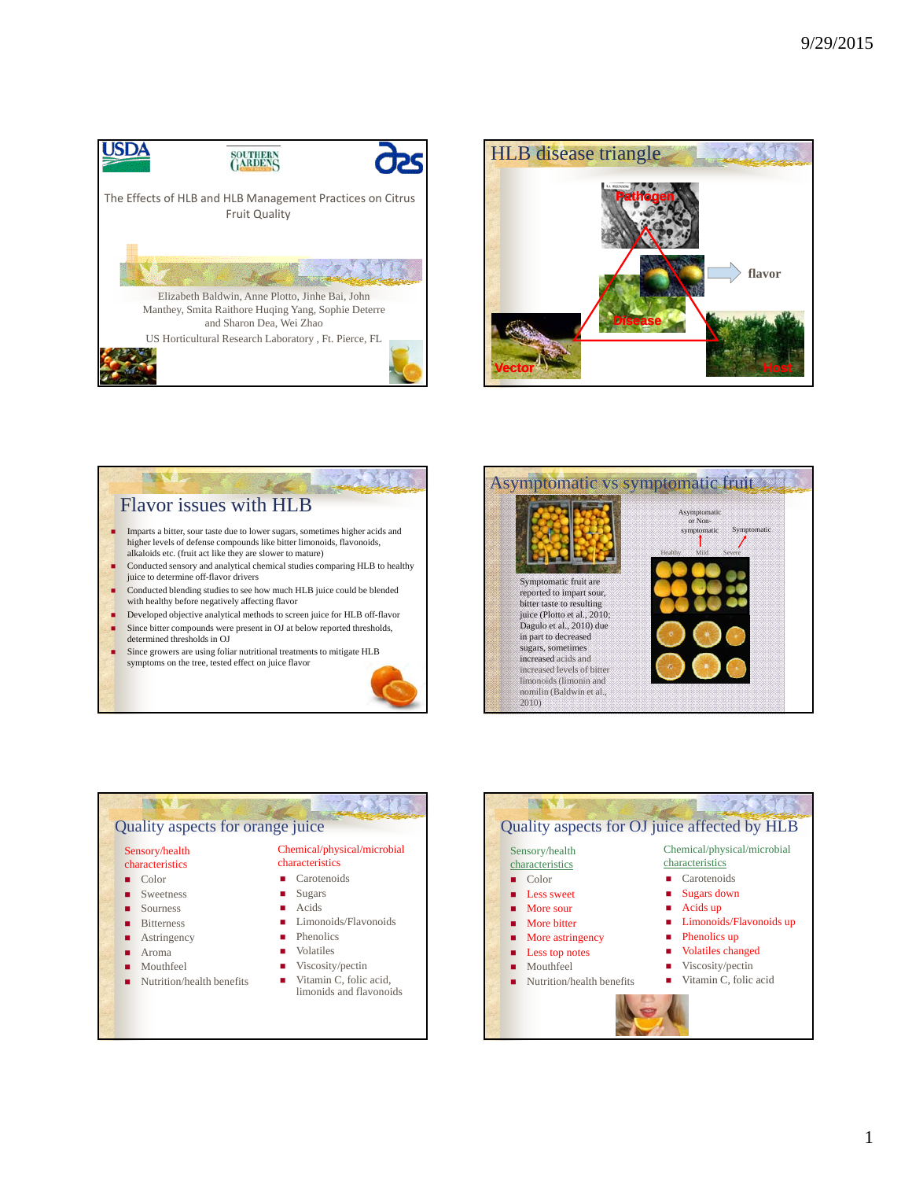





- Conducted blending studies to see how much HLB juice could be blended with healthy before negatively affecting flavor
- Developed objective analytical methods to screen juice for HLB off-flavor Since bitter compounds were present in OJ at below reported thresholds,
- determined thresholds in OJ
- Since growers are using foliar nutritional treatments to mitigate HLB symptoms on the tree, tested effect on juice flavor







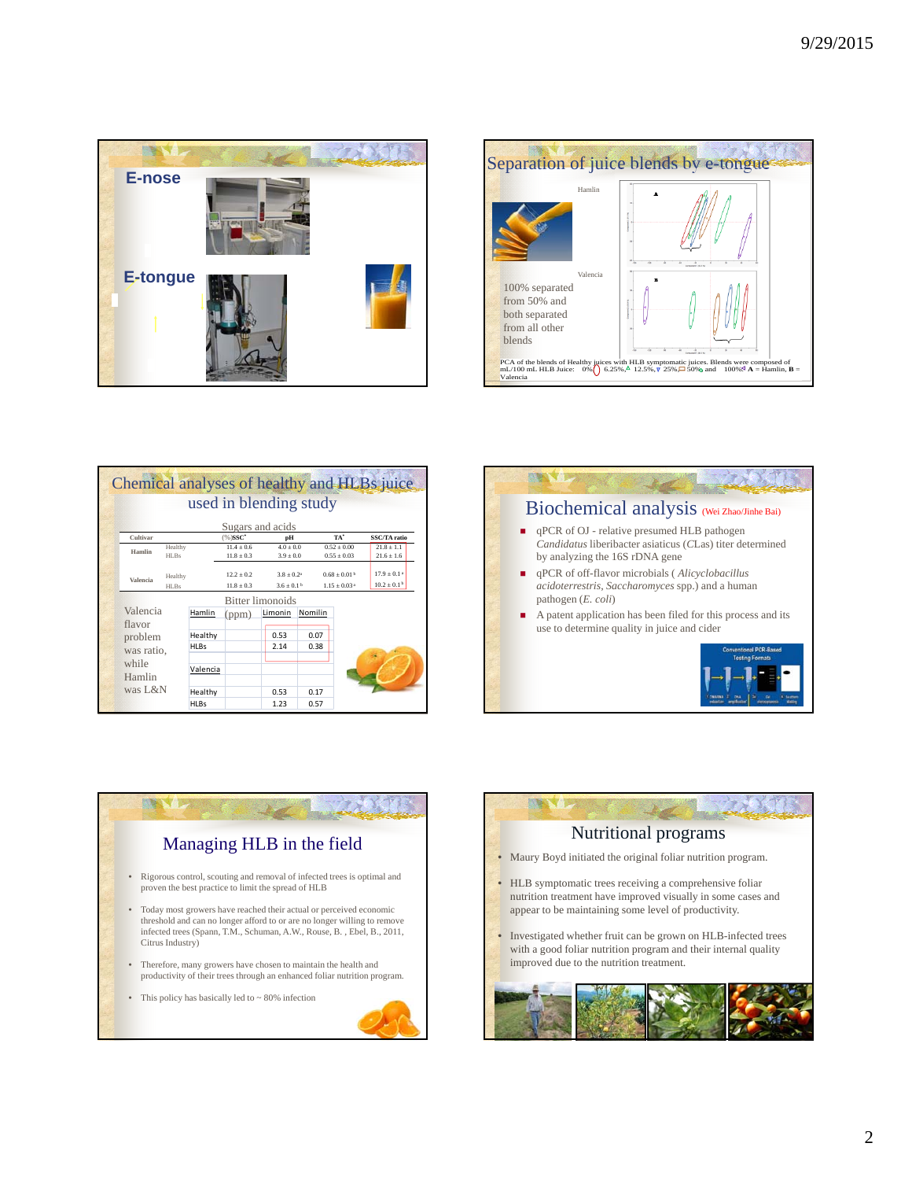



| Chemical analyses of healthy and HLBs juice |                         |         |             |                |               |         |                              |                        |  |  |
|---------------------------------------------|-------------------------|---------|-------------|----------------|---------------|---------|------------------------------|------------------------|--|--|
|                                             | used in blending study  |         |             |                |               |         |                              |                        |  |  |
|                                             | Sugars and acids        |         |             |                |               |         |                              |                        |  |  |
|                                             | Cultivar                |         |             | $(%)$ SSC*     | pН            |         | TA*                          | SSC/TA ratio           |  |  |
|                                             | Hamlin                  | Healthy |             | $11.4 + 0.6$   | $4.0 + 0.0$   |         | $0.52 + 0.00$                | $21.8 \pm 1.1$         |  |  |
|                                             |                         | HLBs    |             | $11.8 \pm 0.3$ | $3.9 \pm 0.0$ |         | $0.55 \pm 0.03$              | $21.6 \pm 1.6$         |  |  |
|                                             | Valencia                | Healthy |             | $12.2 + 0.2$   | $3.8 + 0.24$  |         | $0.68 + 0.01b$               | $179 + 0.14$           |  |  |
|                                             |                         | HLBs    |             | $11.8 \pm 0.3$ | $3.6 + 0.1b$  |         | $1.15 \pm 0.03$ <sup>a</sup> | $10.2 \pm 0.1^{\circ}$ |  |  |
|                                             | <b>Bitter limonoids</b> |         |             |                |               |         |                              |                        |  |  |
|                                             | Valencia<br>flavor      |         | Hamlin      | (ppm)          | Limonin       | Nomilin |                              |                        |  |  |
|                                             |                         |         |             |                |               |         |                              |                        |  |  |
|                                             | problem                 |         | Healthy     |                | 0.53          | 0.07    |                              |                        |  |  |
|                                             | was ratio,              |         | <b>HLBs</b> |                | 2.14          | 0.38    |                              |                        |  |  |
|                                             | while<br>Hamlin         |         |             |                |               |         |                              |                        |  |  |
|                                             |                         |         | Valencia    |                |               |         |                              |                        |  |  |
|                                             |                         |         |             |                |               |         |                              |                        |  |  |
|                                             | was L&N                 |         | Healthy     |                | 0.53          | 0.17    |                              |                        |  |  |
|                                             |                         |         | <b>HLBs</b> |                | 1.23          | 0.57    |                              |                        |  |  |





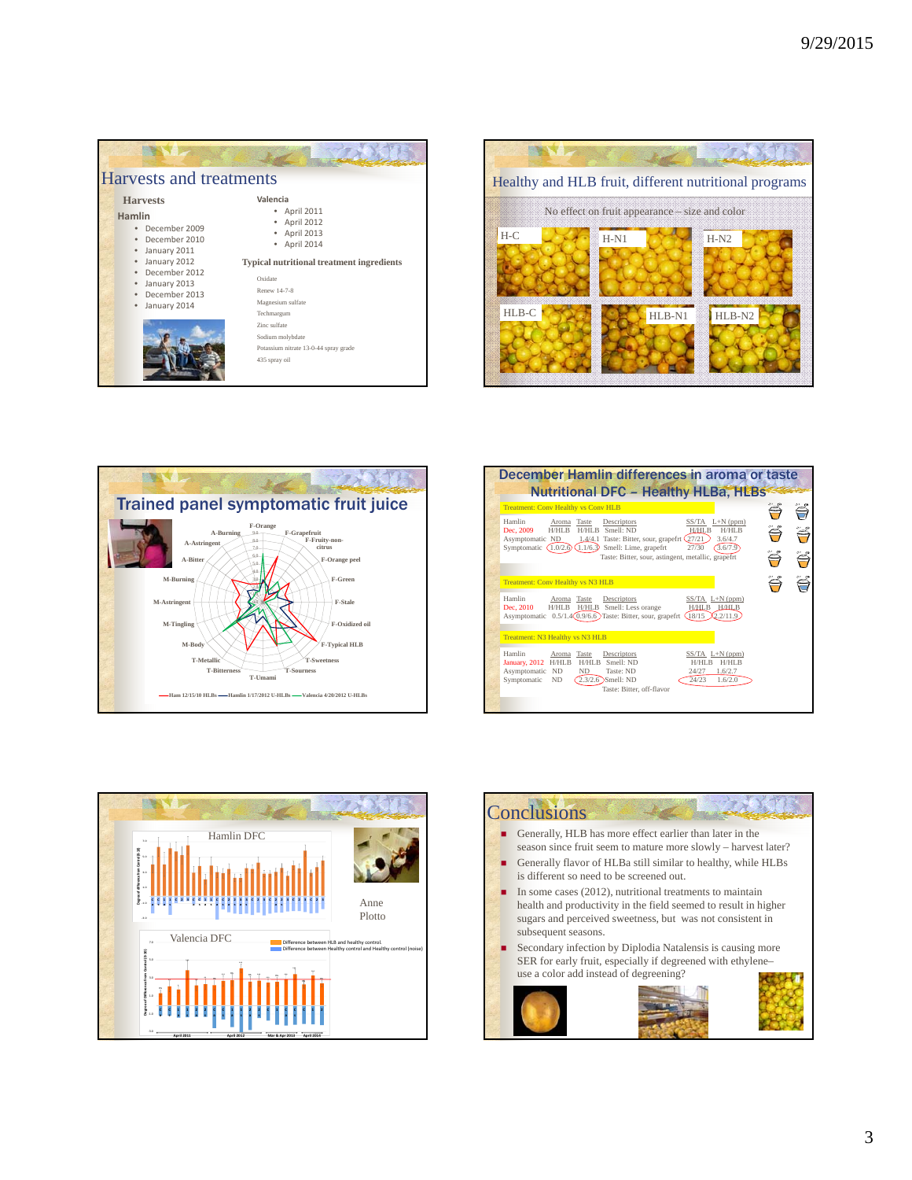| <b>Harvests and treatments</b>                                                                                                                                                   |                                                                                                                                                                                                                                                                                  |  |  |  |  |  |  |
|----------------------------------------------------------------------------------------------------------------------------------------------------------------------------------|----------------------------------------------------------------------------------------------------------------------------------------------------------------------------------------------------------------------------------------------------------------------------------|--|--|--|--|--|--|
| <b>Harvests</b><br>Hamlin<br>December 2009<br>December 2010<br>• January 2011<br>January 2012<br>$\bullet$<br>December 2012<br>• January 2013<br>· December 2013<br>January 2014 | Valencia<br>April 2011<br>April 2012<br>April 2013<br>April 2014<br><b>Typical nutritional treatment ingredients</b><br>Oxidate<br>Renew 14-7-8<br>Magnesium sulfate<br>Techmargum<br>Zinc sulfate<br>Sodium molybdate<br>Potassium nitrate 13-0-44 spray grade<br>435 spray oil |  |  |  |  |  |  |